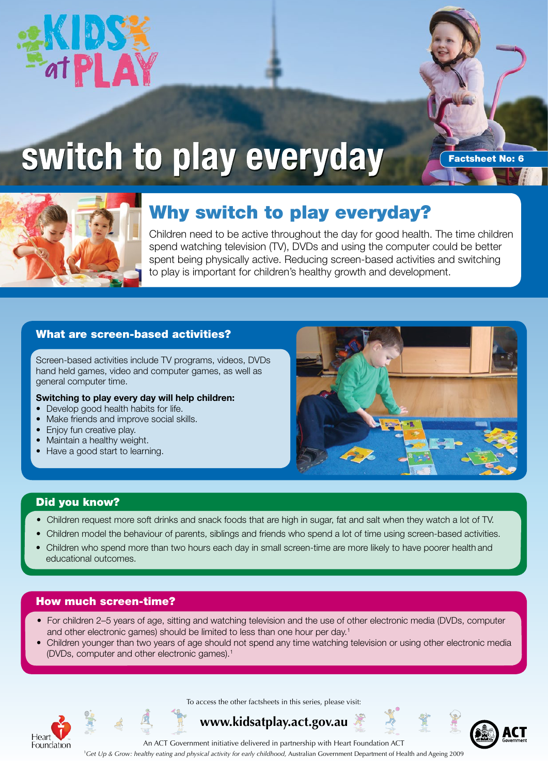



# **switch to play everyday**

Factsheet No: 6



## Why switch to play everyday?

Children need to be active throughout the day for good health. The time children spend watching television (TV), DVDs and using the computer could be better spent being physically active. Reducing screen-based activities and switching to play is important for children's healthy growth and development.

## What are screen-based activities?

Screen-based activities include TV programs, videos, DVDs hand held games, video and computer games, as well as general computer time.

#### **Switching to play every day will help children:**

- Develop good health habits for life.
- Make friends and improve social skills.
- Enjoy fun creative play.
- Maintain a healthy weight.
- Have a good start to learning.



### Did you know?

- •Children request more soft drinks and snack foods that are high in sugar, fat and salt when they watch a lot of TV.
- Children model the behaviour of parents, siblings and friends who spend a lot of time using screen-based activities.
- • Children who spend more than two hours each day in small screen-time are more likely to have poorer health and educational outcomes.

## How much screen-time?

- • For children 2–5 years of age, sitting and watching television and the use of other electronic media (DVDs, computer and other electronic games) should be limited to less than one hour per day.<sup>1</sup>
- • Children younger than two years of age should not spend any time watching television or using other electronic media (DVDs, computer and other electronic games).<sup>1</sup>



To access the other factsheets in this series, please visit:

## **www.kidsatplay.act.gov.au**

An ACT Government initiative delivered in partnership with Heart Foundation ACT